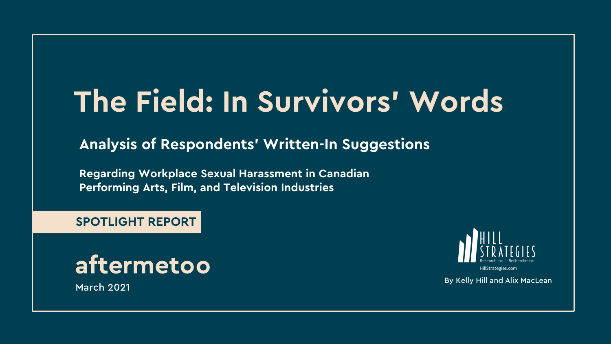# **The Field: In Survivors' Words**

**Analysis of Respondents' Written-In Suggestions**

**Regarding Workplace Sexual Harassment in Canadian Performing Arts, Film, and Television Industries**

**SPOTLIGHT REPORT**





HillStrategies.com

March 2021 By Kelly Hill and Alix MacLean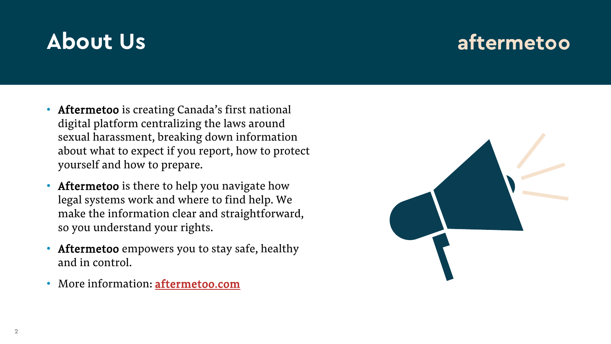## **About Us**

### aftermetoo

- Aftermetoo is creating Canada's first national digital platform centralizing the laws around sexual harassment, breaking down information about what to expect if you report, how to protect yourself and how to prepare.
- Aftermetoo is there to help you navigate how legal systems work and where to find help. We make the information clear and straightforward, so you understand your rights.
- Aftermetoo empowers you to stay safe, healthy and in control.
- More information: **aftermetoo.com**

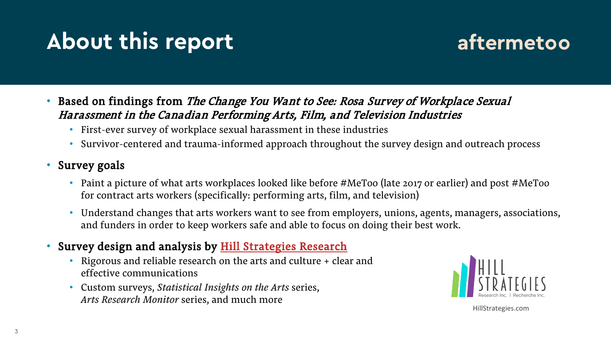## **About this report**

### aftermetoo

- Based on findings from *The Change You Want to See: Rosa Survey of Workplace Sexual* Harassment in the Canadian Performing Arts, Film, and Television Industries
	- First-ever survey of workplace sexual harassment in these industries
	- Survivor-centered and trauma-informed approach throughout the survey design and outreach process
- Survey goals
	- Paint a picture of what arts workplaces looked like before #MeToo (late 2017 or earlier) and post #MeToo for contract arts workers (specifically: performing arts, film, and television)
	- Understand changes that arts workers want to see from employers, unions, agents, managers, associations, and funders in order to keep workers safe and able to focus on doing their best work.
- Survey design and analysis by **[Hill Strategies Research](https://hillstrategies.com/)** 
	- Rigorous and reliable research on the arts and culture + clear and effective communications
	- Custom surveys, *Statistical Insights on the Arts* series, *Arts Research Monitor* series, and much more



HillStrategies.com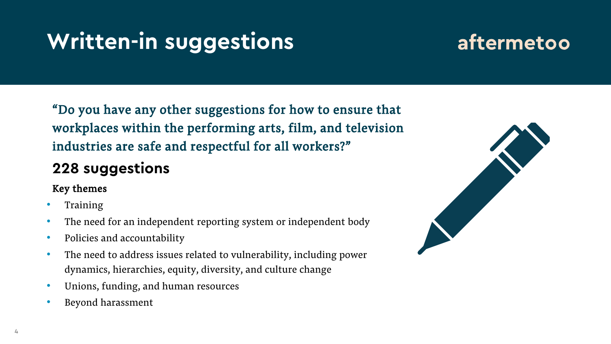## **Written-in suggestions**

### aftermetoo

"Do you have any other suggestions for how to ensure that workplaces within the performing arts, film, and television industries are safe and respectful for all workers?"

#### **228 suggestions**

#### Key themes

- **Training**
- The need for an independent reporting system or independent body
- Policies and accountability
- The need to address issues related to vulnerability, including power dynamics, hierarchies, equity, diversity, and culture change
- Unions, funding, and human resources
- Beyond harassment

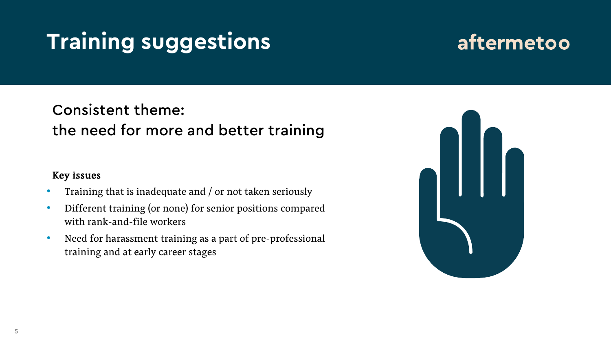## **Training suggestions**

### aftermetoo

#### Consistent theme: the need for more and better training

#### Key issues

- Training that is inadequate and / or not taken seriously
- Different training (or none) for senior positions compared with rank-and-file workers
- Need for harassment training as a part of pre-professional training and at early career stages

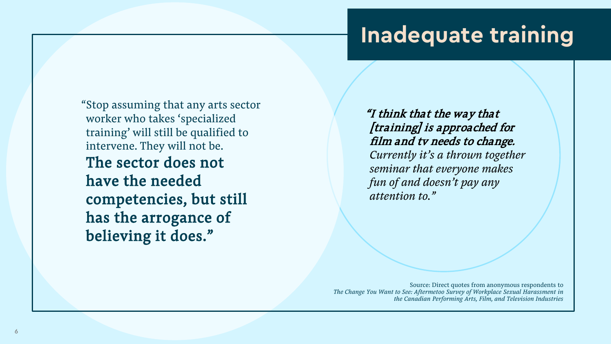### **Inadequate training**

"Stop assuming that any arts sector worker who takes 'specialized training' will still be qualified to intervene. They will not be. The sector does not have the needed competencies, but still has the arrogance of believing it does."

"I think that the way that [training] is approached for film and tv needs to change. *Currently it's a thrown together seminar that everyone makes fun of and doesn't pay any attention to."*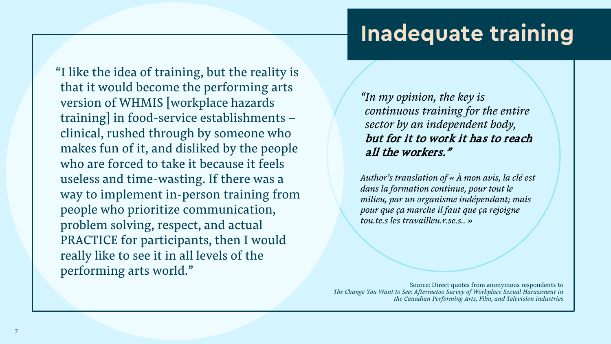## **Inadequate training**

"I like the idea of training, but the reality is that it would become the performing arts version of WHMIS [workplace hazards training] in food-service establishments – clinical, rushed through by someone who makes fun of it, and disliked by the people who are forced to take it because it feels useless and time-wasting. If there was a way to implement in-person training from people who prioritize communication, problem solving, respect, and actual PRACTICE for participants, then I would really like to see it in all levels of the performing arts world."

*"In my opinion, the key is continuous training for the entire sector by an independent body,*  but for it to work it has to reach all the workers."

*Author's translation of « À mon avis, la clé est dans la formation continue, pour tout le milieu, par un organisme indépendant; mais pour que ça marche il faut que ça rejoigne tou.te.s les travailleu.r.se.s.. »*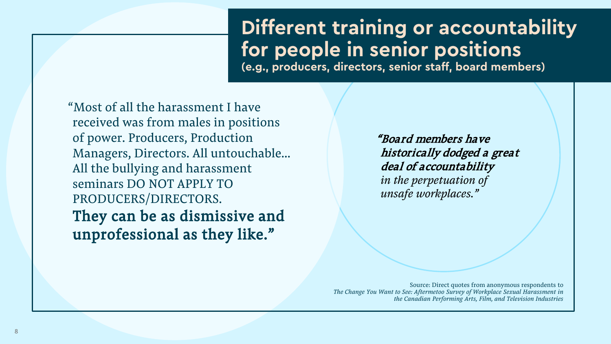### **Different training or accountability for people in senior positions**

**(e.g., producers, directors, senior staff, board members)**

"Most of all the harassment I have received was from males in positions of power. Producers, Production Managers, Directors. All untouchable… All the bullying and harassment seminars DO NOT APPLY TO PRODUCERS/DIRECTORS. They can be as dismissive and unprofessional as they like."

"Board members have historically dodged a great deal of accountability *in the perpetuation of unsafe workplaces."*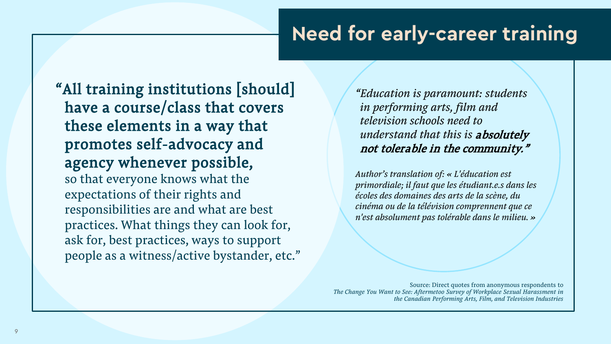#### **Need for early-career training**

"All training institutions [should] have a course/class that covers these elements in a way that promotes self-advocacy and agency whenever possible, so that everyone knows what the expectations of their rights and responsibilities are and what are best practices. What things they can look for, ask for, best practices, ways to support people as a witness/active bystander, etc."

*"Education is paramount: students in performing arts, film and television schools need to understand that this is* absolutely not tolerable in the community."

*Author's translation of: « L'éducation est primordiale; il faut que les étudiant.e.s dans les écoles des domaines des arts de la scène, du cinéma ou de la télévision comprennent que ce n'est absolument pas tolérable dans le milieu. »*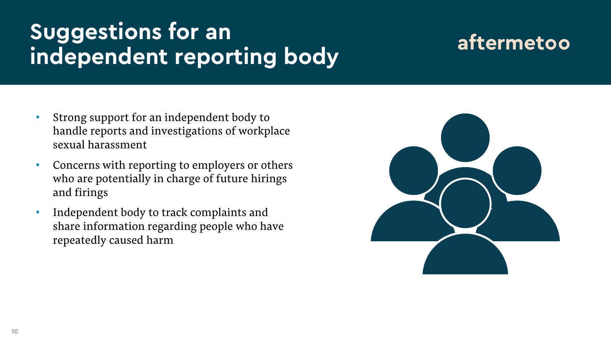## **Suggestions for an independent reporting body**

#### aftermetoo

- Strong support for an independent body to handle reports and investigations of workplace sexual harassment
- Concerns with reporting to employers or others who are potentially in charge of future hirings and firings
- Independent body to track complaints and share information regarding people who have repeatedly caused harm

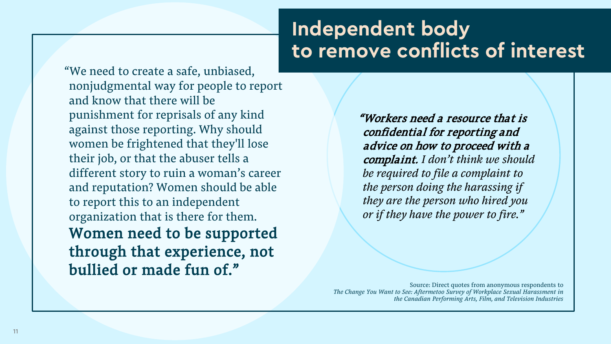#### **Independent body to remove conflicts of interest**

"We need to create a safe, unbiased, nonjudgmental way for people to report and know that there will be punishment for reprisals of any kind against those reporting. Why should women be frightened that they'll lose their job, or that the abuser tells a different story to ruin a woman's career and reputation? Women should be able to report this to an independent organization that is there for them. Women need to be supported through that experience, not bullied or made fun of."

"Workers need a resource that is confidential for reporting and advice on how to proceed with a complaint. *I don't think we should be required to file a complaint to the person doing the harassing if they are the person who hired you or if they have the power to fire."*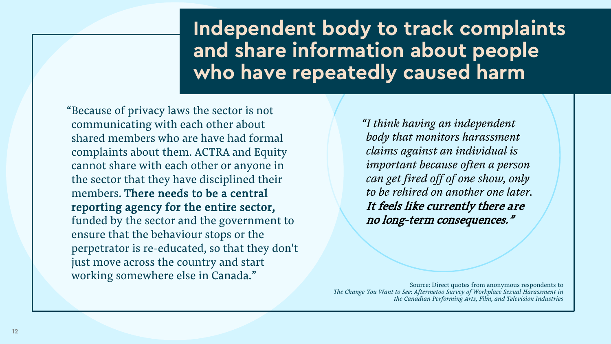#### **Independent body to track complaints and share information about people who have repeatedly caused harm**

"Because of privacy laws the sector is not communicating with each other about shared members who are have had formal complaints about them. ACTRA and Equity cannot share with each other or anyone in the sector that they have disciplined their members. There needs to be a central reporting agency for the entire sector, funded by the sector and the government to ensure that the behaviour stops or the perpetrator is re-educated, so that they don't just move across the country and start working somewhere else in Canada."

*"I think having an independent body that monitors harassment claims against an individual is important because often a person can get fired off of one show, only to be rehired on another one later.*  It feels like currently there are no long-term consequences."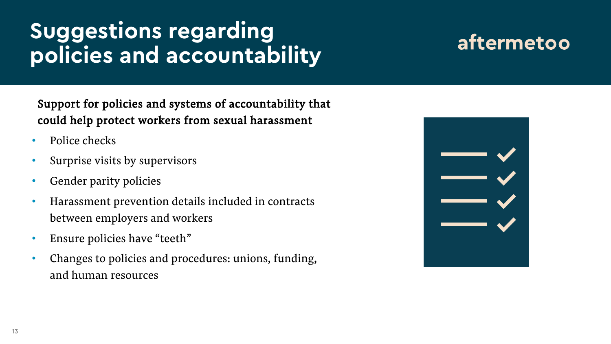## **Suggestions regarding policies and accountability**

### aftermetoo

Support for policies and systems of accountability that could help protect workers from sexual harassment

- Police checks
- Surprise visits by supervisors
- Gender parity policies
- Harassment prevention details included in contracts between employers and workers
- Ensure policies have "teeth"
- Changes to policies and procedures: unions, funding, and human resources

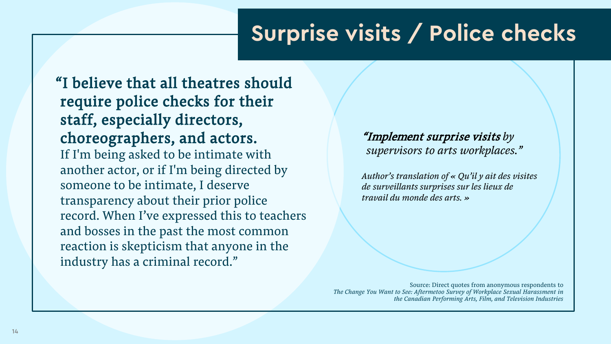## **Surprise visits / Police checks**

"I believe that all theatres should require police checks for their staff, especially directors, choreographers, and actors. If I'm being asked to be intimate with another actor, or if I'm being directed by someone to be intimate, I deserve transparency about their prior police record. When I've expressed this to teachers and bosses in the past the most common reaction is skepticism that anyone in the industry has a criminal record."

#### "Implement surprise visits *by supervisors to arts workplaces."*

*Author's translation of « Qu'il y ait des visites de surveillants surprises sur les lieux de travail du monde des arts. »*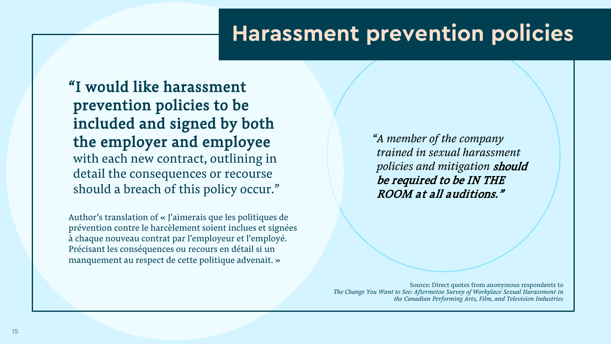### **Harassment prevention policies**

"I would like harassment prevention policies to be included and signed by both the employer and employee with each new contract, outlining in detail the consequences or recourse should a breach of this policy occur."

Author's translation of « J'aimerais que les politiques de prévention contre le harcèlement soient inclues et signées à chaque nouveau contrat par l'employeur et l'employé. Précisant les conséquences ou recours en détail si un manquement au respect de cette politique advenait. »

*"A member of the company trained in sexual harassment policies and mitigation* should be required to be IN THE ROOM at all auditions."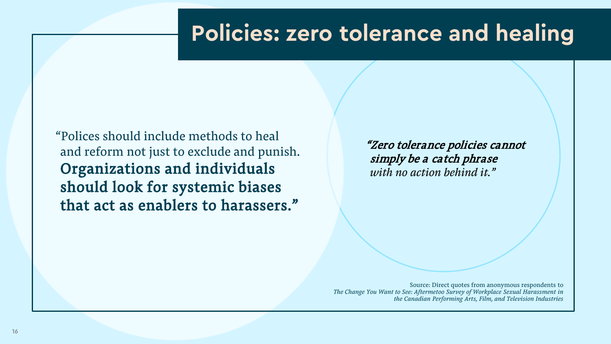### **Policies: zero tolerance and healing**

"Polices should include methods to heal and reform not just to exclude and punish. Organizations and individuals should look for systemic biases that act as enablers to harassers."

"Zero tolerance policies cannot simply be a catch phrase *with no action behind it."*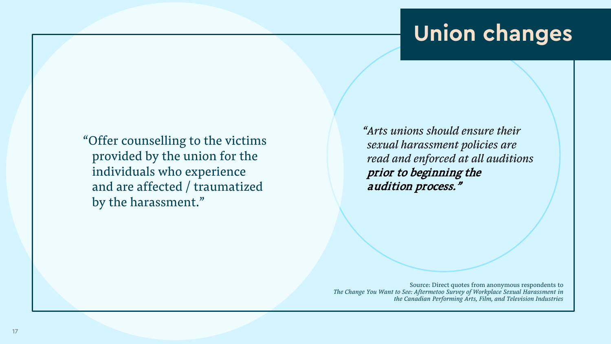## **Union changes**

"Offer counselling to the victims provided by the union for the individuals who experience and are affected / traumatized by the harassment."

*"Arts unions should ensure their sexual harassment policies are read and enforced at all auditions*  prior to beginning the audition process."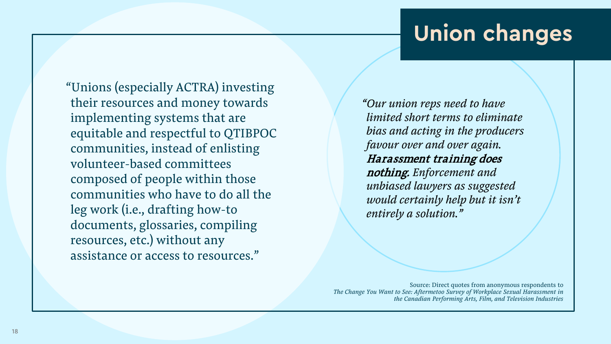## **Union changes**

"Unions (especially ACTRA) investing their resources and money towards implementing systems that are equitable and respectful to QTIBPOC communities, instead of enlisting volunteer-based committees composed of people within those communities who have to do all the leg work (i.e., drafting how-to documents, glossaries, compiling resources, etc.) without any assistance or access to resources."

*"Our union reps need to have limited short terms to eliminate bias and acting in the producers favour over and over again.*  Harassment training does nothing. *Enforcement and unbiased lawyers as suggested would certainly help but it isn't entirely a solution."*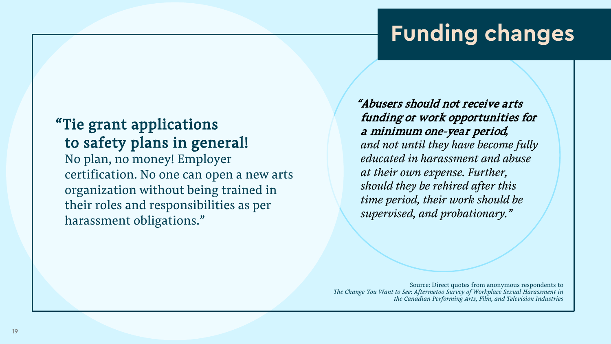## **Funding changes**

#### "Tie grant applications to safety plans in general! No plan, no money! Employer certification. No one can open a new arts organization without being trained in their roles and responsibilities as per harassment obligations."

"Abusers should not receive arts funding or work opportunities for a minimum one-year period*, and not until they have become fully educated in harassment and abuse at their own expense. Further, should they be rehired after this time period, their work should be supervised, and probationary."*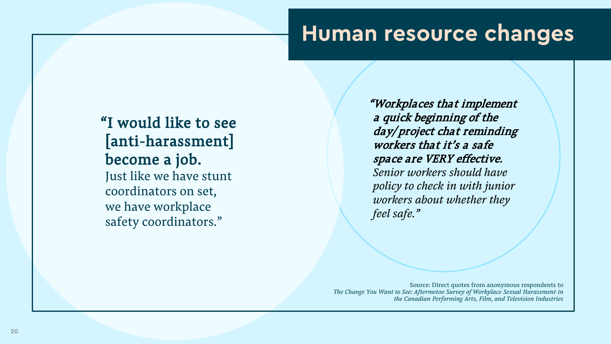### **Human resource changes**

"I would like to see [anti-harassment] become a job. Just like we have stunt coordinators on set, we have workplace safety coordinators."

"Workplaces that implement a quick beginning of the day/ project chat reminding workers that it's a safe space are VERY effective. *Senior workers should have policy to check in with junior workers about whether they feel safe."*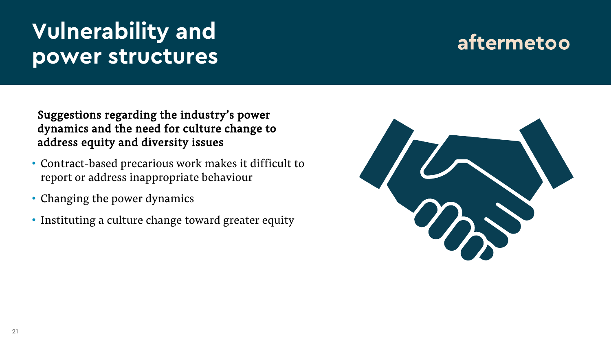## **Vulnerability and power structures**

#### aftermetoo

Suggestions regarding the industry's power dynamics and the need for culture change to address equity and diversity issues

- Contract-based precarious work makes it difficult to report or address inappropriate behaviour
- Changing the power dynamics
- Instituting a culture change toward greater equity

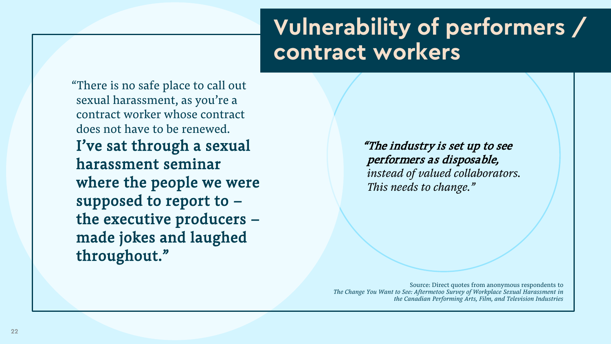## **Vulnerability of performers / contract workers**

"There is no safe place to call out sexual harassment, as you're a contract worker whose contract does not have to be renewed. I've sat through a sexual harassment seminar where the people we were supposed to report to – the executive producers – made jokes and laughed throughout."

"The industry is set up to see performers as disposable, *instead of valued collaborators. This needs to change."*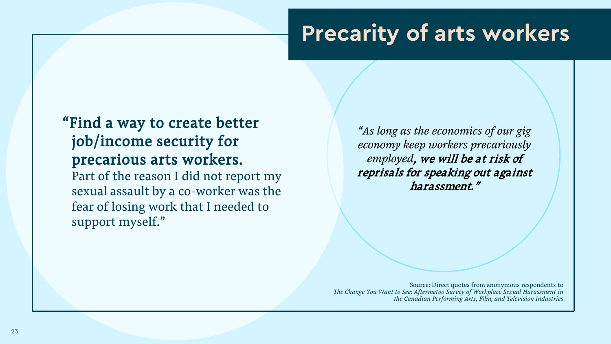## **Precarity of arts workers**

#### "Find a way to create better job/income security for precarious arts workers. Part of the reason I did not report my sexual assault by a co-worker was the fear of losing work that I needed to support myself."

*"As long as the economics of our gig economy keep workers precariously employed*, we will be at risk of reprisals for speaking out against harassment."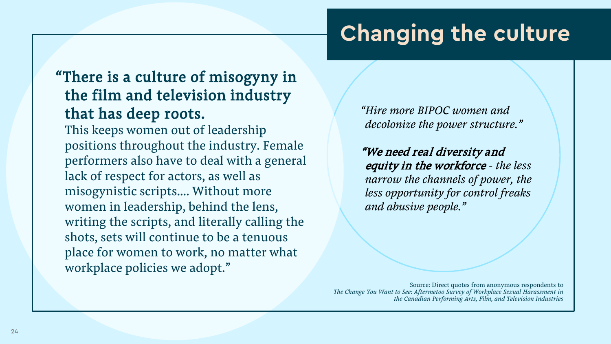## **Changing the culture**

#### "There is a culture of misogyny in the film and television industry that has deep roots.

This keeps women out of leadership positions throughout the industry. Female performers also have to deal with a general lack of respect for actors, as well as misogynistic scripts…. Without more women in leadership, behind the lens, writing the scripts, and literally calling the shots, sets will continue to be a tenuous place for women to work, no matter what workplace policies we adopt."

*"Hire more BIPOC women and decolonize the power structure."*

"We need real diversity and equity in the workforce *- the less narrow the channels of power, the less opportunity for control freaks and abusive people."*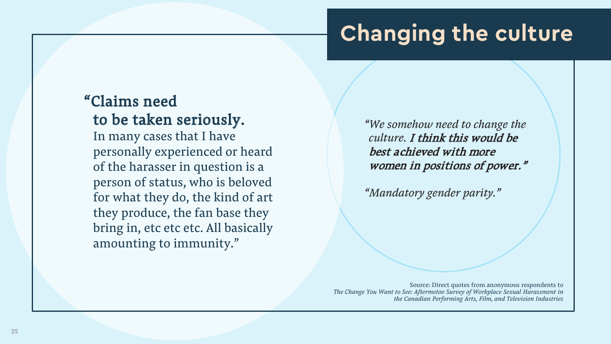## **Changing the culture**

#### "Claims need to be taken seriously.

In many cases that I have personally experienced or heard of the harasser in question is a person of status, who is beloved for what they do, the kind of art they produce, the fan base they bring in, etc etc etc. All basically amounting to immunity."

*"We somehow need to change the culture.* I think this would be best achieved with more women in positions of power."

*"Mandatory gender parity."*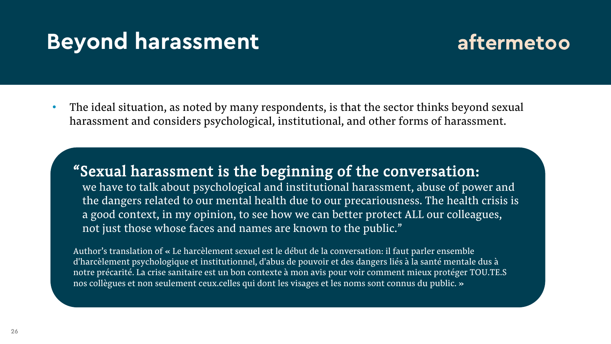### **Beyond harassment**



• The ideal situation, as noted by many respondents, is that the sector thinks beyond sexual harassment and considers psychological, institutional, and other forms of harassment.

"Sexual harassment is the beginning of the conversation: we have to talk about psychological and institutional harassment, abuse of power and the dangers related to our mental health due to our precariousness. The health crisis is a good context, in my opinion, to see how we can better protect ALL our colleagues, not just those whose faces and names are known to the public."

Author's translation of « Le harcèlement sexuel est le début de la conversation: il faut parler ensemble d'harcèlement psychologique et institutionnel, d'abus de pouvoir et des dangers liés à la santé mentale dus à notre précarité. La crise sanitaire est un bon contexte à mon avis pour voir comment mieux protéger TOU.TE.S nos collègues et non seulement ceux.celles qui dont les visages et les noms sont connus du public. »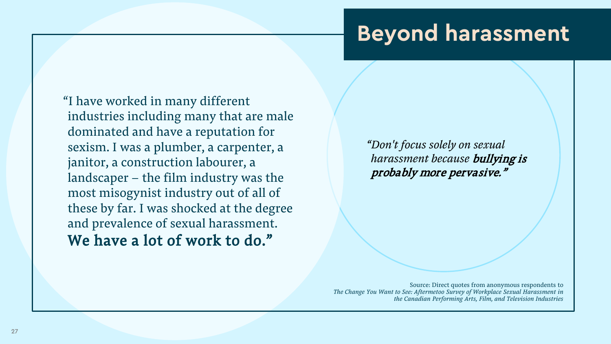### **Beyond harassment**

"I have worked in many different industries including many that are male dominated and have a reputation for sexism. I was a plumber, a carpenter, a janitor, a construction labourer, a landscaper – the film industry was the most misogynist industry out of all of these by far. I was shocked at the degree and prevalence of sexual harassment. We have a lot of work to do."

*"Don't focus solely on sexual harassment because* bullying is probably more pervasive."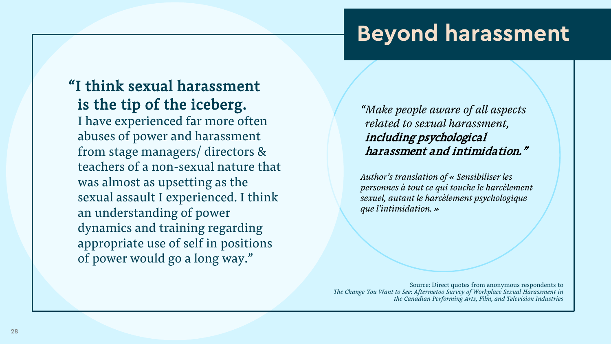### **Beyond harassment**

"I think sexual harassment is the tip of the iceberg. I have experienced far more often abuses of power and harassment from stage managers/ directors & teachers of a non-sexual nature that was almost as upsetting as the sexual assault I experienced. I think an understanding of power dynamics and training regarding appropriate use of self in positions of power would go a long way."

*"Make people aware of all aspects related to sexual harassment,*  including psychological harassment and intimidation."

*Author's translation of « Sensibiliser les personnes à tout ce qui touche le harcèlement sexuel, autant le harcèlement psychologique que l'intimidation. »*